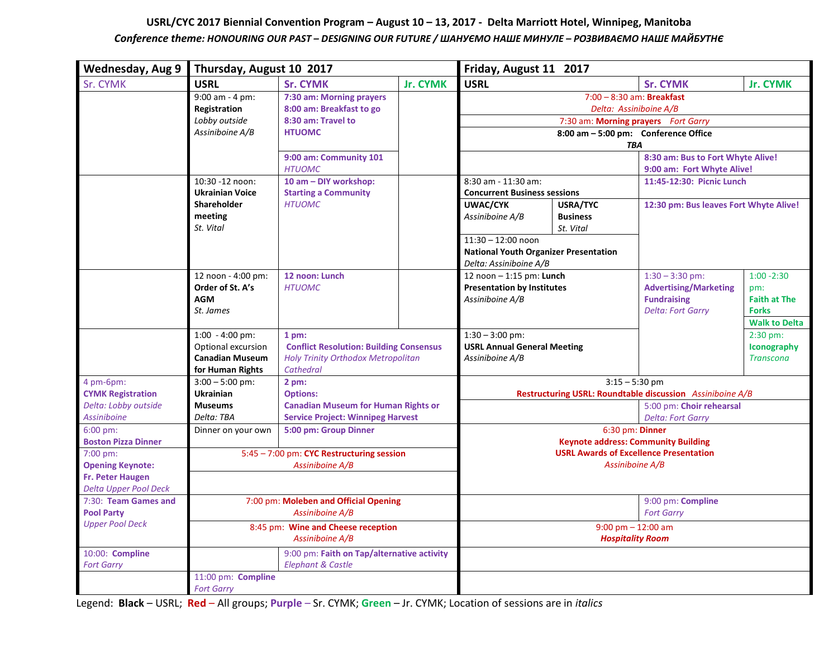## **USRL/CYC 2017 Biennial Convention Program – August 10 – 13, 2017 - Delta Marriott Hotel, Winnipeg, Manitoba** *Conference theme: HONOURING OUR PAST – DESIGNING OUR FUTURE / ШАНУЄМО НАШЕ МИНУЛЕ – РОЗВИВАЄМО НАШЕ МАЙБУТНє*

| <b>Wednesday, Aug 9</b>                                 | Thursday, August 10 2017                                                              |                                                                                                                    |                 | Friday, August 11 2017                                                                                                                                         |                              |                                                                                                     |                                                                                     |
|---------------------------------------------------------|---------------------------------------------------------------------------------------|--------------------------------------------------------------------------------------------------------------------|-----------------|----------------------------------------------------------------------------------------------------------------------------------------------------------------|------------------------------|-----------------------------------------------------------------------------------------------------|-------------------------------------------------------------------------------------|
| Sr. CYMK                                                | <b>USRL</b>                                                                           | <b>Sr. CYMK</b>                                                                                                    | <b>Jr. CYMK</b> | <b>USRL</b>                                                                                                                                                    |                              | <b>Sr. CYMK</b>                                                                                     | <b>Jr. CYMK</b>                                                                     |
|                                                         | $9:00$ am - 4 pm:<br>Registration                                                     | 7:30 am: Morning prayers<br>8:00 am: Breakfast to go                                                               |                 | $7:00 - 8:30$ am: Breakfast<br>Delta: Assiniboine A/B                                                                                                          |                              |                                                                                                     |                                                                                     |
|                                                         | Lobby outside                                                                         | 8:30 am: Travel to                                                                                                 |                 | 7:30 am: Morning prayers Fort Garry                                                                                                                            |                              |                                                                                                     |                                                                                     |
|                                                         | Assiniboine A/B                                                                       | <b>HTUOMC</b>                                                                                                      |                 | 8:00 am - 5:00 pm: Conference Office<br><b>TBA</b>                                                                                                             |                              |                                                                                                     |                                                                                     |
|                                                         |                                                                                       | 9:00 am: Community 101<br><b>HTUOMC</b>                                                                            |                 |                                                                                                                                                                |                              | 8:30 am: Bus to Fort Whyte Alive!<br>9:00 am: Fort Whyte Alive!                                     |                                                                                     |
|                                                         | 10:30 -12 noon:<br><b>Ukrainian Voice</b>                                             | 10 am - DIY workshop:<br><b>Starting a Community</b>                                                               |                 | 8:30 am - 11:30 am:<br><b>Concurrent Business sessions</b>                                                                                                     |                              | 11:45-12:30: Picnic Lunch                                                                           |                                                                                     |
|                                                         | <b>Shareholder</b>                                                                    | <b>HTUOMC</b>                                                                                                      |                 | <b>UWAC/CYK</b>                                                                                                                                                | USRA/TYC                     | 12:30 pm: Bus leaves Fort Whyte Alive!                                                              |                                                                                     |
|                                                         | meeting<br>St. Vital                                                                  |                                                                                                                    |                 | Assiniboine A/B                                                                                                                                                | <b>Business</b><br>St. Vital |                                                                                                     |                                                                                     |
|                                                         |                                                                                       |                                                                                                                    |                 | $11:30 - 12:00$ noon<br><b>National Youth Organizer Presentation</b><br>Delta: Assiniboine A/B                                                                 |                              |                                                                                                     |                                                                                     |
|                                                         | 12 noon - 4:00 pm:<br>Order of St. A's<br><b>AGM</b><br>St. James                     | 12 noon: Lunch<br><b>HTUOMC</b>                                                                                    |                 | 12 noon - 1:15 pm: Lunch<br><b>Presentation by Institutes</b><br>Assiniboine A/B<br>$1:30 - 3:00$ pm:<br><b>USRL Annual General Meeting</b><br>Assiniboine A/B |                              | $1:30 - 3:30$ pm:<br><b>Advertising/Marketing</b><br><b>Fundraising</b><br><b>Delta: Fort Garry</b> | $1:00 - 2:30$<br>pm:<br><b>Faith at The</b><br><b>Forks</b><br><b>Walk to Delta</b> |
|                                                         | $1:00 - 4:00$ pm:<br>Optional excursion<br><b>Canadian Museum</b><br>for Human Rights | $1pm$ :<br><b>Conflict Resolution: Building Consensus</b><br>Holy Trinity Orthodox Metropolitan<br>Cathedral       |                 |                                                                                                                                                                |                              |                                                                                                     | 2:30 pm:<br>Iconography<br><b>Transcona</b>                                         |
| 4 pm-6pm:<br><b>CYMK Registration</b>                   | $3:00 - 5:00$ pm:<br><b>Ukrainian</b>                                                 | 2 pm:<br><b>Options:</b><br><b>Canadian Museum for Human Rights or</b><br><b>Service Project: Winnipeg Harvest</b> |                 | $3:15 - 5:30$ pm<br>Restructuring USRL: Roundtable discussion Assiniboine A/B                                                                                  |                              |                                                                                                     |                                                                                     |
| Delta: Lobby outside<br><b>Assiniboine</b>              | <b>Museums</b><br>Delta: TBA                                                          |                                                                                                                    |                 |                                                                                                                                                                |                              | 5:00 pm: Choir rehearsal<br><b>Delta: Fort Garry</b>                                                |                                                                                     |
| 6:00 pm:<br><b>Boston Pizza Dinner</b>                  | Dinner on your own                                                                    | 5:00 pm: Group Dinner<br>5:45 - 7:00 pm: CYC Restructuring session<br>Assiniboine A/B                              |                 | 6:30 pm: Dinner<br><b>Keynote address: Community Building</b><br><b>USRL Awards of Excellence Presentation</b><br>Assiniboine A/B                              |                              |                                                                                                     |                                                                                     |
| 7:00 pm:<br><b>Opening Keynote:</b><br>Fr. Peter Haugen |                                                                                       |                                                                                                                    |                 |                                                                                                                                                                |                              |                                                                                                     |                                                                                     |
| <b>Delta Upper Pool Deck</b>                            |                                                                                       |                                                                                                                    |                 |                                                                                                                                                                |                              |                                                                                                     |                                                                                     |
| 7:30: Team Games and<br><b>Pool Party</b>               | 7:00 pm: Moleben and Official Opening<br>Assiniboine A/B                              |                                                                                                                    |                 |                                                                                                                                                                |                              | 9:00 pm: Compline<br><b>Fort Garry</b>                                                              |                                                                                     |
| <b>Upper Pool Deck</b>                                  | 8:45 pm: Wine and Cheese reception                                                    |                                                                                                                    |                 | $9:00$ pm $-12:00$ am                                                                                                                                          |                              |                                                                                                     |                                                                                     |
|                                                         | Assiniboine A/B                                                                       |                                                                                                                    |                 |                                                                                                                                                                | <b>Hospitality Room</b>      |                                                                                                     |                                                                                     |
| 10:00: Compline<br><b>Fort Garry</b>                    |                                                                                       | 9:00 pm: Faith on Tap/alternative activity<br><b>Elephant &amp; Castle</b>                                         |                 |                                                                                                                                                                |                              |                                                                                                     |                                                                                     |
|                                                         | 11:00 pm: Compline<br><b>Fort Garry</b>                                               |                                                                                                                    |                 |                                                                                                                                                                |                              |                                                                                                     |                                                                                     |

Legend: **Black** – USRL; **Red** – All groups; **Purple** – Sr. CYMK; **Green** – Jr. CYMK; Location of sessions are in *italics*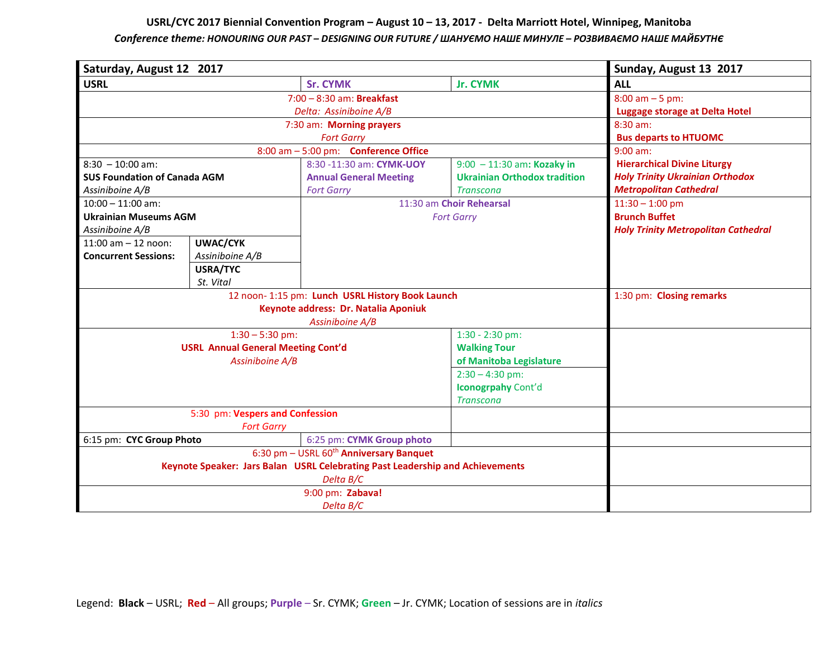## **USRL/CYC 2017 Biennial Convention Program – August 10 – 13, 2017 - Delta Marriott Hotel, Winnipeg, Manitoba** *Conference theme: HONOURING OUR PAST – DESIGNING OUR FUTURE / ШАНУЄМО НАШЕ МИНУЛЕ – РОЗВИВАЄМО НАШЕ МАЙБУТНє*

| Saturday, August 12 2017                                                     |                                                                                          | Sunday, August 13 2017                                                                                                 |                                                                                         |                                                                                                               |
|------------------------------------------------------------------------------|------------------------------------------------------------------------------------------|------------------------------------------------------------------------------------------------------------------------|-----------------------------------------------------------------------------------------|---------------------------------------------------------------------------------------------------------------|
| <b>USRL</b>                                                                  |                                                                                          | <b>Sr. CYMK</b>                                                                                                        | <b>Jr. CYMK</b>                                                                         | <b>ALL</b>                                                                                                    |
|                                                                              |                                                                                          | $8:00$ am $-5$ pm:<br><b>Luggage storage at Delta Hotel</b>                                                            |                                                                                         |                                                                                                               |
|                                                                              | 7:30 am: Morning prayers                                                                 | 8:30 am:<br><b>Bus departs to HTUOMC</b>                                                                               |                                                                                         |                                                                                                               |
|                                                                              |                                                                                          | $9:00$ am:                                                                                                             |                                                                                         |                                                                                                               |
| $8:30 - 10:00$ am:<br><b>SUS Foundation of Canada AGM</b><br>Assiniboine A/B |                                                                                          | 8:00 am - 5:00 pm: Conference Office<br>8:30 -11:30 am: CYMK-UOY<br><b>Annual General Meeting</b><br><b>Fort Garry</b> | $9:00 - 11:30$ am: Kozaky in<br><b>Ukrainian Orthodox tradition</b><br><b>Transcona</b> | <b>Hierarchical Divine Liturgy</b><br><b>Holy Trinity Ukrainian Orthodox</b><br><b>Metropolitan Cathedral</b> |
| $10:00 - 11:00$ am:                                                          |                                                                                          | 11:30 am Choir Rehearsal                                                                                               |                                                                                         | $11:30 - 1:00$ pm                                                                                             |
| <b>Ukrainian Museums AGM</b><br>Assiniboine A/B                              |                                                                                          | <b>Fort Garry</b>                                                                                                      |                                                                                         | <b>Brunch Buffet</b><br><b>Holy Trinity Metropolitan Cathedral</b>                                            |
| $11:00$ am $-12$ noon:<br><b>Concurrent Sessions:</b>                        | <b>UWAC/CYK</b><br>Assiniboine A/B                                                       |                                                                                                                        |                                                                                         |                                                                                                               |
|                                                                              | USRA/TYC<br>St. Vital                                                                    |                                                                                                                        |                                                                                         |                                                                                                               |
|                                                                              | 12 noon- 1:15 pm: Lunch USRL History Book Launch<br>Keynote address: Dr. Natalia Aponiuk | 1:30 pm: Closing remarks                                                                                               |                                                                                         |                                                                                                               |
|                                                                              | $1:30 - 5:30$ pm:                                                                        | 1:30 - 2:30 pm:                                                                                                        |                                                                                         |                                                                                                               |
| <b>USRL Annual General Meeting Cont'd</b><br>Assiniboine A/B                 |                                                                                          |                                                                                                                        | <b>Walking Tour</b><br>of Manitoba Legislature                                          |                                                                                                               |
|                                                                              |                                                                                          |                                                                                                                        | $2:30 - 4:30$ pm:<br>Iconogrpahy Cont'd<br><b>Transcona</b>                             |                                                                                                               |
|                                                                              | 5:30 pm: Vespers and Confession<br><b>Fort Garry</b>                                     |                                                                                                                        |                                                                                         |                                                                                                               |
| 6:15 pm: CYC Group Photo<br>6:25 pm: CYMK Group photo                        |                                                                                          |                                                                                                                        |                                                                                         |                                                                                                               |
|                                                                              | 6:30 pm - USRL 60 <sup>th</sup> Anniversary Banquet                                      |                                                                                                                        |                                                                                         |                                                                                                               |
|                                                                              | Keynote Speaker: Jars Balan USRL Celebrating Past Leadership and Achievements            |                                                                                                                        |                                                                                         |                                                                                                               |
|                                                                              |                                                                                          |                                                                                                                        |                                                                                         |                                                                                                               |